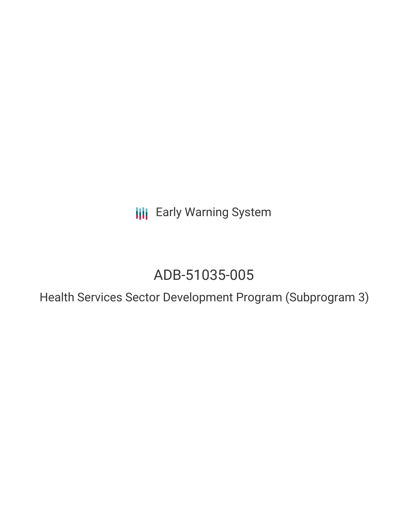**III** Early Warning System

# ADB-51035-005

Health Services Sector Development Program (Subprogram 3)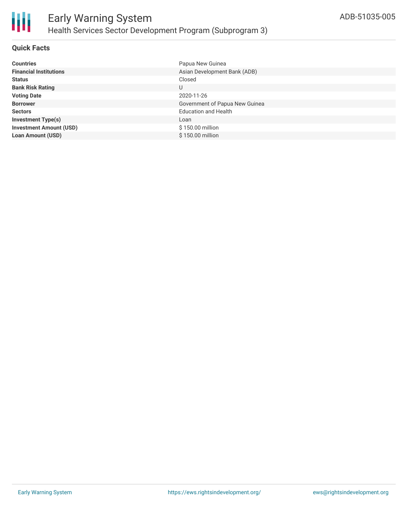

## **Quick Facts**

| <b>Countries</b>               | Papua New Guinea               |
|--------------------------------|--------------------------------|
| <b>Financial Institutions</b>  | Asian Development Bank (ADB)   |
| <b>Status</b>                  | Closed                         |
| <b>Bank Risk Rating</b>        | U                              |
| <b>Voting Date</b>             | 2020-11-26                     |
| <b>Borrower</b>                | Government of Papua New Guinea |
| <b>Sectors</b>                 | <b>Education and Health</b>    |
| <b>Investment Type(s)</b>      | Loan                           |
| <b>Investment Amount (USD)</b> | $$150.00$ million              |
| <b>Loan Amount (USD)</b>       | \$150.00 million               |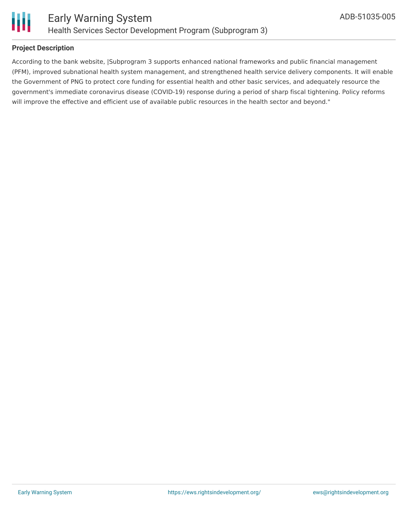

### **Project Description**

According to the bank website, |Subprogram 3 supports enhanced national frameworks and public financial management (PFM), improved subnational health system management, and strengthened health service delivery components. It will enable the Government of PNG to protect core funding for essential health and other basic services, and adequately resource the government's immediate coronavirus disease (COVID-19) response during a period of sharp fiscal tightening. Policy reforms will improve the effective and efficient use of available public resources in the health sector and beyond."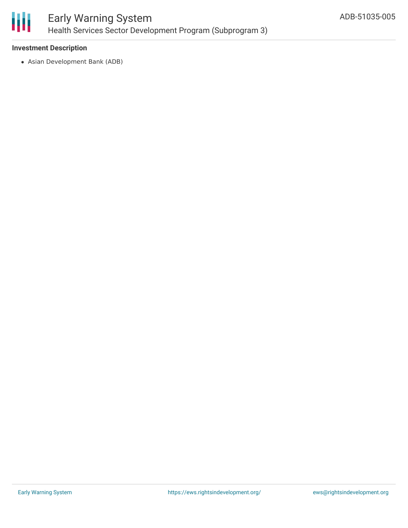

#### **Investment Description**

Asian Development Bank (ADB)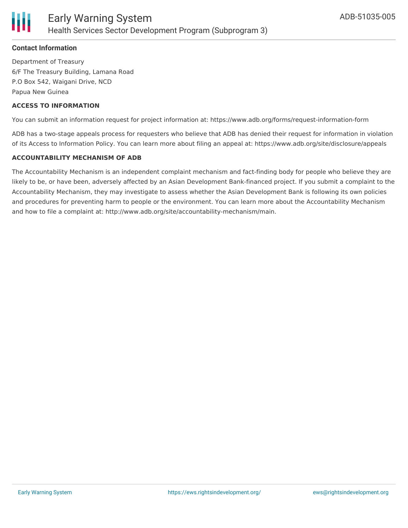

### **Contact Information**

Department of Treasury 6/F The Treasury Building, Lamana Road P.O Box 542, Waigani Drive, NCD Papua New Guinea

#### **ACCESS TO INFORMATION**

You can submit an information request for project information at: https://www.adb.org/forms/request-information-form

ADB has a two-stage appeals process for requesters who believe that ADB has denied their request for information in violation of its Access to Information Policy. You can learn more about filing an appeal at: https://www.adb.org/site/disclosure/appeals

#### **ACCOUNTABILITY MECHANISM OF ADB**

The Accountability Mechanism is an independent complaint mechanism and fact-finding body for people who believe they are likely to be, or have been, adversely affected by an Asian Development Bank-financed project. If you submit a complaint to the Accountability Mechanism, they may investigate to assess whether the Asian Development Bank is following its own policies and procedures for preventing harm to people or the environment. You can learn more about the Accountability Mechanism and how to file a complaint at: http://www.adb.org/site/accountability-mechanism/main.